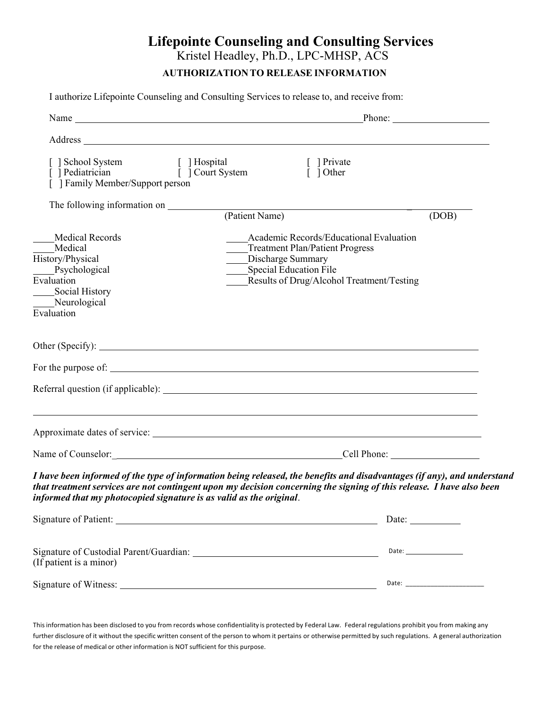## **Lifepointe Counseling and Consulting Services**

Kristel Headley, Ph.D., LPC-MHSP, ACS

## **AUTHORIZATIONTO RELEASE INFORMATION**

I authorize Lifepointe Counseling and Consulting Services to release to, and receive from:

|                                                                                                                               | Name Phone: Phone: Phone: Phone: Phone: Phone: Phone: Phone: Phone: Phone: Phone: Phone: Phone: Phone: Phone: Phone: Phone: Phone: Phone: Phone: Phone: Phone: Phone: Phone: Phone: Phone: Phone: Phone: Phone: Phone: Phone:                   |              |
|-------------------------------------------------------------------------------------------------------------------------------|-------------------------------------------------------------------------------------------------------------------------------------------------------------------------------------------------------------------------------------------------|--------------|
|                                                                                                                               | Address and the contract of the contract of the contract of the contract of the contract of the contract of the contract of the contract of the contract of the contract of the contract of the contract of the contract of th                  |              |
| [ ] School System [ ] Hospital<br>[ ] Pediatrician [ ] [ ] Court System<br>[ ] Family Member/Support person                   | [ ] Private<br>$\overline{1}$ 1 Other                                                                                                                                                                                                           |              |
|                                                                                                                               |                                                                                                                                                                                                                                                 |              |
| Medical Records<br>Medical<br>History/Physical<br>Psychological<br>Evaluation<br>Social History<br>Neurological<br>Evaluation | Academic Records/Educational Evaluation<br>____Treatment Plan/Patient Progress<br>Discharge Summary<br>_____Special Education File<br>Results of Drug/Alcohol Treatment/Testing                                                                 | (DOB)        |
|                                                                                                                               |                                                                                                                                                                                                                                                 |              |
|                                                                                                                               |                                                                                                                                                                                                                                                 |              |
|                                                                                                                               |                                                                                                                                                                                                                                                 |              |
|                                                                                                                               | ,我们也不会有什么。""我们的人,我们也不会有什么?""我们的人,我们也不会有什么?""我们的人,我们也不会有什么?""我们的人,我们也不会有什么?""我们的人                                                                                                                                                                |              |
|                                                                                                                               |                                                                                                                                                                                                                                                 |              |
| informed that my photocopied signature is as valid as the original.                                                           | I have been informed of the type of information being released, the benefits and disadvantages (if any), and understand<br>that treatment services are not contingent upon my decision concerning the signing of this release. I have also been |              |
|                                                                                                                               |                                                                                                                                                                                                                                                 | Date: $\_\_$ |
| (If patient is a minor)                                                                                                       |                                                                                                                                                                                                                                                 |              |
|                                                                                                                               |                                                                                                                                                                                                                                                 |              |

This information has been disclosed to you from records whose confidentiality is protected by Federal Law. Federal regulations prohibit you from making any further disclosure of it without the specific written consent of the person to whom it pertains or otherwise permitted by such regulations. A general authorization for the release of medical or other information is NOT sufficient for this purpose.